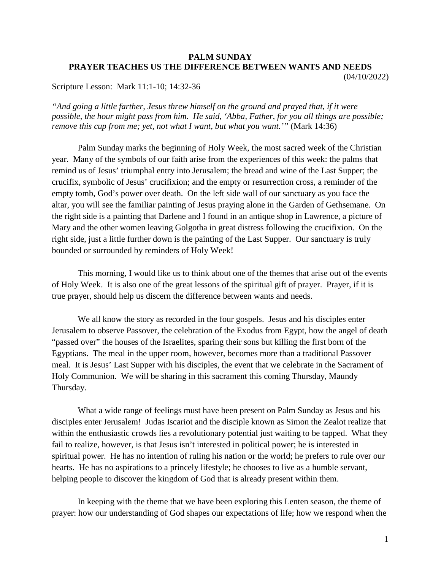## **PALM SUNDAY PRAYER TEACHES US THE DIFFERENCE BETWEEN WANTS AND NEEDS** (04/10/2022)

Scripture Lesson: Mark 11:1-10; 14:32-36

*"And going a little farther, Jesus threw himself on the ground and prayed that, if it were possible, the hour might pass from him. He said, 'Abba, Father, for you all things are possible; remove this cup from me; yet, not what I want, but what you want.'"* (Mark 14:36)

Palm Sunday marks the beginning of Holy Week, the most sacred week of the Christian year. Many of the symbols of our faith arise from the experiences of this week: the palms that remind us of Jesus' triumphal entry into Jerusalem; the bread and wine of the Last Supper; the crucifix, symbolic of Jesus' crucifixion; and the empty or resurrection cross, a reminder of the empty tomb, God's power over death. On the left side wall of our sanctuary as you face the altar, you will see the familiar painting of Jesus praying alone in the Garden of Gethsemane. On the right side is a painting that Darlene and I found in an antique shop in Lawrence, a picture of Mary and the other women leaving Golgotha in great distress following the crucifixion. On the right side, just a little further down is the painting of the Last Supper. Our sanctuary is truly bounded or surrounded by reminders of Holy Week!

This morning, I would like us to think about one of the themes that arise out of the events of Holy Week. It is also one of the great lessons of the spiritual gift of prayer. Prayer, if it is true prayer, should help us discern the difference between wants and needs.

We all know the story as recorded in the four gospels. Jesus and his disciples enter Jerusalem to observe Passover, the celebration of the Exodus from Egypt, how the angel of death "passed over" the houses of the Israelites, sparing their sons but killing the first born of the Egyptians. The meal in the upper room, however, becomes more than a traditional Passover meal. It is Jesus' Last Supper with his disciples, the event that we celebrate in the Sacrament of Holy Communion. We will be sharing in this sacrament this coming Thursday, Maundy Thursday.

What a wide range of feelings must have been present on Palm Sunday as Jesus and his disciples enter Jerusalem! Judas Iscariot and the disciple known as Simon the Zealot realize that within the enthusiastic crowds lies a revolutionary potential just waiting to be tapped. What they fail to realize, however, is that Jesus isn't interested in political power; he is interested in spiritual power. He has no intention of ruling his nation or the world; he prefers to rule over our hearts. He has no aspirations to a princely lifestyle; he chooses to live as a humble servant, helping people to discover the kingdom of God that is already present within them.

In keeping with the theme that we have been exploring this Lenten season, the theme of prayer: how our understanding of God shapes our expectations of life; how we respond when the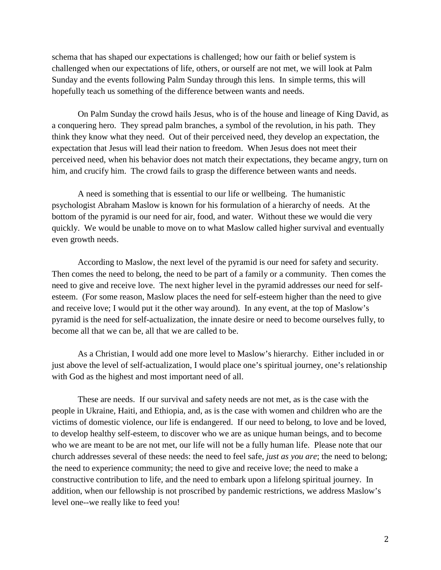schema that has shaped our expectations is challenged; how our faith or belief system is challenged when our expectations of life, others, or ourself are not met, we will look at Palm Sunday and the events following Palm Sunday through this lens. In simple terms, this will hopefully teach us something of the difference between wants and needs.

On Palm Sunday the crowd hails Jesus, who is of the house and lineage of King David, as a conquering hero. They spread palm branches, a symbol of the revolution, in his path. They think they know what they need. Out of their perceived need, they develop an expectation, the expectation that Jesus will lead their nation to freedom. When Jesus does not meet their perceived need, when his behavior does not match their expectations, they became angry, turn on him, and crucify him. The crowd fails to grasp the difference between wants and needs.

A need is something that is essential to our life or wellbeing. The humanistic psychologist Abraham Maslow is known for his formulation of a hierarchy of needs. At the bottom of the pyramid is our need for air, food, and water. Without these we would die very quickly. We would be unable to move on to what Maslow called higher survival and eventually even growth needs.

According to Maslow, the next level of the pyramid is our need for safety and security. Then comes the need to belong, the need to be part of a family or a community. Then comes the need to give and receive love. The next higher level in the pyramid addresses our need for selfesteem. (For some reason, Maslow places the need for self-esteem higher than the need to give and receive love; I would put it the other way around). In any event, at the top of Maslow's pyramid is the need for self-actualization, the innate desire or need to become ourselves fully, to become all that we can be, all that we are called to be.

As a Christian, I would add one more level to Maslow's hierarchy. Either included in or just above the level of self-actualization, I would place one's spiritual journey, one's relationship with God as the highest and most important need of all.

These are needs. If our survival and safety needs are not met, as is the case with the people in Ukraine, Haiti, and Ethiopia, and, as is the case with women and children who are the victims of domestic violence, our life is endangered. If our need to belong, to love and be loved, to develop healthy self-esteem, to discover who we are as unique human beings, and to become who we are meant to be are not met, our life will not be a fully human life. Please note that our church addresses several of these needs: the need to feel safe, *just as you are*; the need to belong; the need to experience community; the need to give and receive love; the need to make a constructive contribution to life, and the need to embark upon a lifelong spiritual journey. In addition, when our fellowship is not proscribed by pandemic restrictions, we address Maslow's level one--we really like to feed you!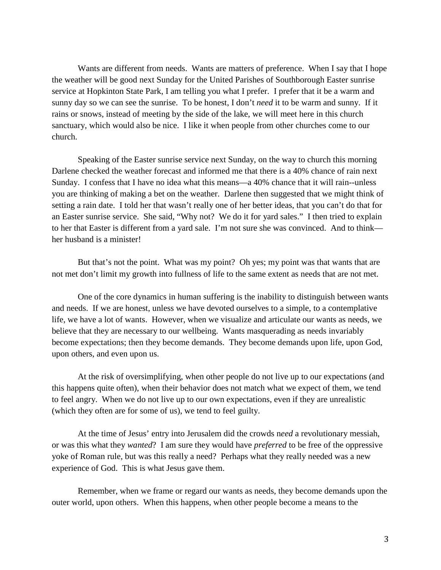Wants are different from needs. Wants are matters of preference. When I say that I hope the weather will be good next Sunday for the United Parishes of Southborough Easter sunrise service at Hopkinton State Park, I am telling you what I prefer. I prefer that it be a warm and sunny day so we can see the sunrise. To be honest, I don't *need* it to be warm and sunny. If it rains or snows, instead of meeting by the side of the lake, we will meet here in this church sanctuary, which would also be nice. I like it when people from other churches come to our church.

Speaking of the Easter sunrise service next Sunday, on the way to church this morning Darlene checked the weather forecast and informed me that there is a 40% chance of rain next Sunday. I confess that I have no idea what this means—a 40% chance that it will rain--unless you are thinking of making a bet on the weather. Darlene then suggested that we might think of setting a rain date. I told her that wasn't really one of her better ideas, that you can't do that for an Easter sunrise service. She said, "Why not? We do it for yard sales." I then tried to explain to her that Easter is different from a yard sale. I'm not sure she was convinced. And to think her husband is a minister!

But that's not the point. What was my point? Oh yes; my point was that wants that are not met don't limit my growth into fullness of life to the same extent as needs that are not met.

One of the core dynamics in human suffering is the inability to distinguish between wants and needs. If we are honest, unless we have devoted ourselves to a simple, to a contemplative life, we have a lot of wants. However, when we visualize and articulate our wants as needs, we believe that they are necessary to our wellbeing. Wants masquerading as needs invariably become expectations; then they become demands. They become demands upon life, upon God, upon others, and even upon us.

At the risk of oversimplifying, when other people do not live up to our expectations (and this happens quite often), when their behavior does not match what we expect of them, we tend to feel angry. When we do not live up to our own expectations, even if they are unrealistic (which they often are for some of us), we tend to feel guilty.

At the time of Jesus' entry into Jerusalem did the crowds n*eed* a revolutionary messiah, or was this what they *wanted*? I am sure they would have *preferred* to be free of the oppressive yoke of Roman rule, but was this really a need? Perhaps what they really needed was a new experience of God. This is what Jesus gave them.

Remember, when we frame or regard our wants as needs, they become demands upon the outer world, upon others. When this happens, when other people become a means to the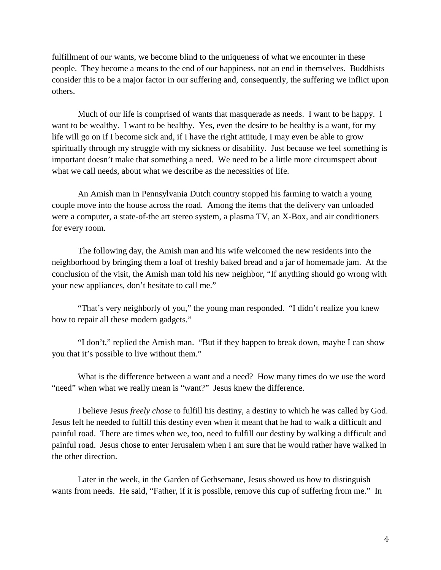fulfillment of our wants, we become blind to the uniqueness of what we encounter in these people. They become a means to the end of our happiness, not an end in themselves. Buddhists consider this to be a major factor in our suffering and, consequently, the suffering we inflict upon others.

Much of our life is comprised of wants that masquerade as needs. I want to be happy. I want to be wealthy. I want to be healthy. Yes, even the desire to be healthy is a want, for my life will go on if I become sick and, if I have the right attitude, I may even be able to grow spiritually through my struggle with my sickness or disability. Just because we feel something is important doesn't make that something a need. We need to be a little more circumspect about what we call needs, about what we describe as the necessities of life.

An Amish man in Pennsylvania Dutch country stopped his farming to watch a young couple move into the house across the road. Among the items that the delivery van unloaded were a computer, a state-of-the art stereo system, a plasma TV, an X-Box, and air conditioners for every room.

The following day, the Amish man and his wife welcomed the new residents into the neighborhood by bringing them a loaf of freshly baked bread and a jar of homemade jam. At the conclusion of the visit, the Amish man told his new neighbor, "If anything should go wrong with your new appliances, don't hesitate to call me."

"That's very neighborly of you," the young man responded. "I didn't realize you knew how to repair all these modern gadgets."

"I don't," replied the Amish man. "But if they happen to break down, maybe I can show you that it's possible to live without them."

What is the difference between a want and a need? How many times do we use the word "need" when what we really mean is "want?" Jesus knew the difference.

I believe Jesus *freely chose* to fulfill his destiny, a destiny to which he was called by God. Jesus felt he needed to fulfill this destiny even when it meant that he had to walk a difficult and painful road. There are times when we, too, need to fulfill our destiny by walking a difficult and painful road. Jesus chose to enter Jerusalem when I am sure that he would rather have walked in the other direction.

Later in the week, in the Garden of Gethsemane, Jesus showed us how to distinguish wants from needs. He said, "Father, if it is possible, remove this cup of suffering from me." In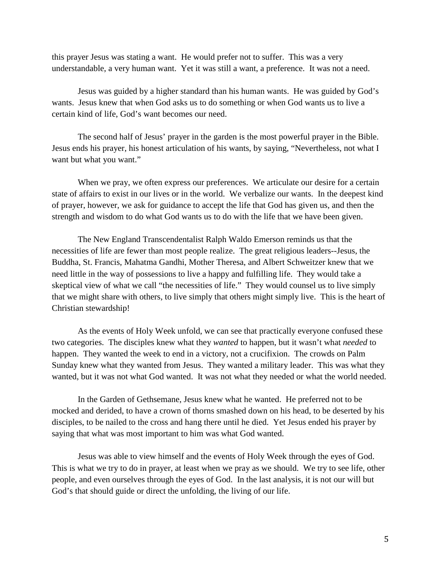this prayer Jesus was stating a want. He would prefer not to suffer. This was a very understandable, a very human want. Yet it was still a want, a preference. It was not a need.

Jesus was guided by a higher standard than his human wants. He was guided by God's wants. Jesus knew that when God asks us to do something or when God wants us to live a certain kind of life, God's want becomes our need.

The second half of Jesus' prayer in the garden is the most powerful prayer in the Bible. Jesus ends his prayer, his honest articulation of his wants, by saying, "Nevertheless, not what I want but what you want."

When we pray, we often express our preferences. We articulate our desire for a certain state of affairs to exist in our lives or in the world. We verbalize our wants. In the deepest kind of prayer, however, we ask for guidance to accept the life that God has given us, and then the strength and wisdom to do what God wants us to do with the life that we have been given.

The New England Transcendentalist Ralph Waldo Emerson reminds us that the necessities of life are fewer than most people realize. The great religious leaders--Jesus, the Buddha, St. Francis, Mahatma Gandhi, Mother Theresa, and Albert Schweitzer knew that we need little in the way of possessions to live a happy and fulfilling life. They would take a skeptical view of what we call "the necessities of life." They would counsel us to live simply that we might share with others, to live simply that others might simply live. This is the heart of Christian stewardship!

As the events of Holy Week unfold, we can see that practically everyone confused these two categories. The disciples knew what they *wanted* to happen, but it wasn't what *needed* to happen. They wanted the week to end in a victory, not a crucifixion. The crowds on Palm Sunday knew what they wanted from Jesus. They wanted a military leader. This was what they wanted, but it was not what God wanted. It was not what they needed or what the world needed.

In the Garden of Gethsemane, Jesus knew what he wanted. He preferred not to be mocked and derided, to have a crown of thorns smashed down on his head, to be deserted by his disciples, to be nailed to the cross and hang there until he died. Yet Jesus ended his prayer by saying that what was most important to him was what God wanted.

Jesus was able to view himself and the events of Holy Week through the eyes of God. This is what we try to do in prayer, at least when we pray as we should. We try to see life, other people, and even ourselves through the eyes of God. In the last analysis, it is not our will but God's that should guide or direct the unfolding, the living of our life.